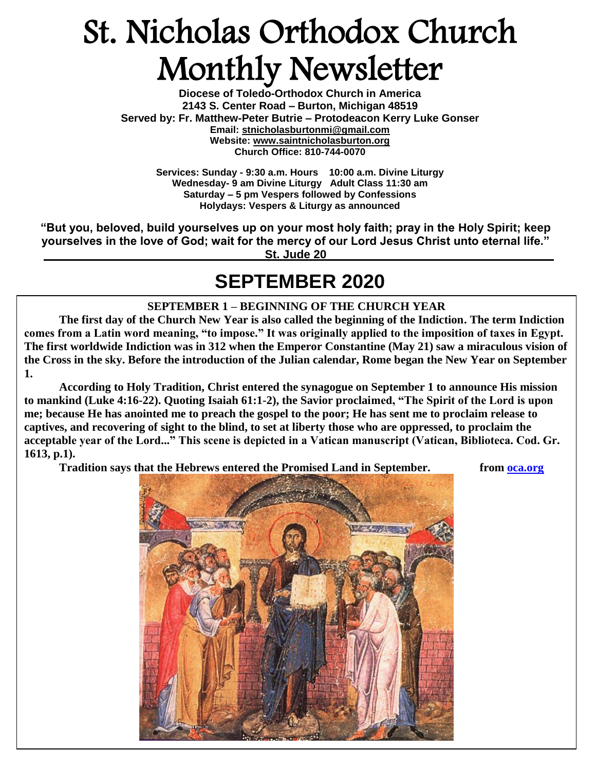# St. Nicholas Orthodox Church Monthly Newsletter

**Diocese of Toledo-Orthodox Church in America 2143 S. Center Road – Burton, Michigan 48519 Served by: Fr. Matthew-Peter Butrie – Protodeacon Kerry Luke Gonser Email: stnicholasburtonmi@gmail.com Website: [www.saintnicholasburton.org](http://www.saintnicholasburton.org/) Church Office: 810-744-0070** 

> **Services: Sunday - 9:30 a.m. Hours 10:00 a.m. Divine Liturgy Wednesday- 9 am Divine Liturgy Adult Class 11:30 am Saturday – 5 pm Vespers followed by Confessions Holydays: Vespers & Liturgy as announced**

**"But you, beloved, build yourselves up on your most holy faith; pray in the Holy Spirit; keep yourselves in the love of God; wait for the mercy of our Lord Jesus Christ unto eternal life." St. Jude 20**

### **SEPTEMBER 2020**

#### **SEPTEMBER 1 – BEGINNING OF THE CHURCH YEAR**

**The first day of the Church New Year is also called the beginning of the Indiction. The term Indiction comes from a Latin word meaning, "to impose." It was originally applied to the imposition of taxes in Egypt. The first worldwide Indiction was in 312 when the Emperor Constantine (May 21) saw a miraculous vision of the Cross in the sky. Before the introduction of the Julian calendar, Rome began the New Year on September 1.**

**According to Holy Tradition, Christ entered the synagogue on September 1 to announce His mission to mankind (Luke 4:16-22). Quoting Isaiah 61:1-2), the Savior proclaimed, "The Spirit of the Lord is upon me; because He has anointed me to preach the gospel to the poor; He has sent me to proclaim release to captives, and recovering of sight to the blind, to set at liberty those who are oppressed, to proclaim the acceptable year of the Lord..." This scene is depicted in a Vatican manuscript (Vatican, Biblioteca. Cod. Gr. 1613, p.1).**

**Tradition says that the Hebrews entered the Promised Land in September. from [oca.org](https://www.oca.org/saints/lives/2020/09/01/501-church-new-year)**

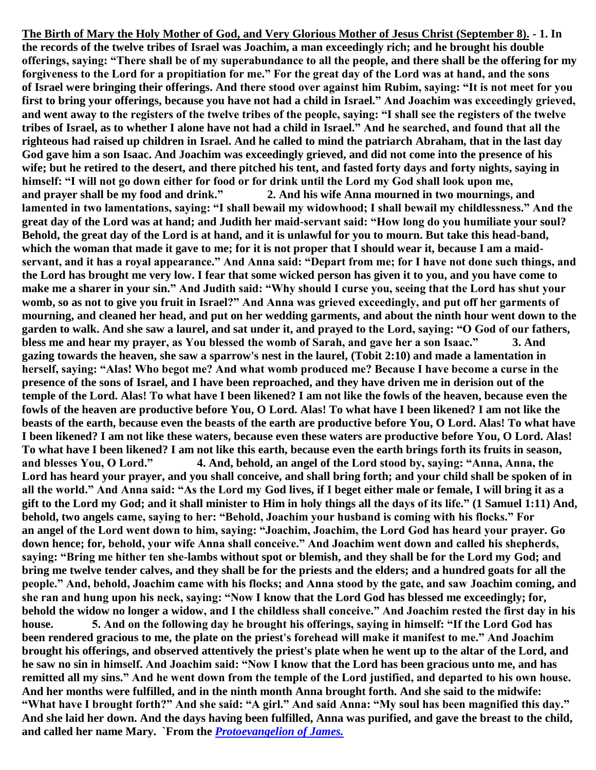**The Birth of Mary the Holy [Mother of God,](https://www.newadvent.org/cathen/15464b.htm) and Very Glorious Mother of [Jesus Christ](https://www.newadvent.org/cathen/08374c.htm) (September 8). - 1. In the records of the twelve tribes of [Israel](https://www.newadvent.org/cathen/08193a.htm) was Joachim, a man exceedingly rich; and he brought his double offerings, saying: "There shall be of my superabundance to all the people, and there shall be the offering for my forgiveness to the Lord for a propitiation for me." For the great day of the Lord was at hand, and the sons of [Israel](https://www.newadvent.org/cathen/08193a.htm) were bringing their offerings. And there stood over against him Rubim, saying: "It is not meet for you first to bring your offerings, because you have not had a child in [Israel.](https://www.newadvent.org/cathen/08193a.htm)" And Joachim was exceedingly grieved, and went away to the registers of the twelve tribes of the people, saying: "I shall see the registers of the twelve tribes of [Israel,](https://www.newadvent.org/cathen/08193a.htm) as to whether I alone have not had a child in [Israel.](https://www.newadvent.org/cathen/08193a.htm)" And he searched, and found that all the righteous had raised up children in [Israel.](https://www.newadvent.org/cathen/08193a.htm) And he called to mind the patriarch [Abraham,](https://www.newadvent.org/cathen/01051a.htm) that in the last day God gave him a son Isaac. And Joachim was exceedingly grieved, and did not come into the presence of his wife; but he retired to the [desert,](https://www.newadvent.org/cathen/04749a.htm) and there pitched his tent, and fasted forty days and forty nights, saying in himself: "I will not go down either for food or for drink until the Lord my God shall look upon me, and [prayer](https://www.newadvent.org/cathen/12345b.htm) shall be my food and drink." 2. And his wife Anna mourned in two mournings, and lamented in two lamentations, saying: "I shall bewail my widowhood; I shall bewail my childlessness." And the great day of the Lord was at hand; and Judith her maid-servant said: "How long do you humiliate your [soul?](https://www.newadvent.org/cathen/14153a.htm) Behold, the great day of the Lord is at hand, and it is unlawful for you to mourn. But take this head-band, which the [woman](https://www.newadvent.org/cathen/15687b.htm) that made it gave to me; for it is not proper that I should wear it, because I am a maidservant, and it has a royal appearance." And Anna said: "Depart from me; for I have not done such things, and the Lord has brought me very low. I [fear](https://www.newadvent.org/cathen/06021a.htm) that some [wicked](https://www.newadvent.org/cathen/05649a.htm) person has given it to you, and you have come to make me a sharer in your [sin.](https://www.newadvent.org/cathen/14004b.htm)" And Judith said: "Why should I curse you, seeing that the Lord has shut your womb, so as not to give you fruit in [Israel?](https://www.newadvent.org/cathen/08193a.htm)" And Anna was grieved exceedingly, and put off her garments of mourning, and cleaned her head, and put on her wedding garments, and about the ninth hour went down to the garden to walk. And she saw a laurel, and sat under it, and [prayed](https://www.newadvent.org/cathen/12345b.htm) to the Lord, saying: "O God of our fathers, bless me and hear my [prayer,](https://www.newadvent.org/cathen/12345b.htm) as You blessed the womb of Sarah, and gave her a son Isaac." 3. And gazing towards the heaven, she saw a sparrow's nest in the laurel, [\(Tobit](https://www.newadvent.org/bible/tob002.htm#verse10) 2:10) and made a lamentation in herself, saying: "Alas! Who begot me? And what womb produced me? Because I have become a curse in the presence of the sons of [Israel,](https://www.newadvent.org/cathen/08193a.htm) and I have been reproached, and they have driven me in derision out of the temple of the Lord. Alas! To what have I been likened? I am not like the fowls of the heaven, because even the fowls of the heaven are productive before You, O Lord. Alas! To what have I been likened? I am not like the beasts of the earth, because even the beasts of the earth are productive before You, O Lord. Alas! To what have I been likened? I am not like these waters, because even these waters are productive before You, O Lord. Alas! To what have I been likened? I am not like this earth, because even the earth brings forth its fruits in season, and blesses You, O Lord." 4. And, behold, an [angel](https://www.newadvent.org/cathen/01476d.htm) of the Lord stood by, saying: "Anna, Anna, the Lord has heard your [prayer,](https://www.newadvent.org/cathen/12345b.htm) and you shall conceive, and shall bring forth; and your child shall be spoken of in all the world." And Anna said: "As the Lord my God lives, if I beget either male or female, I will bring it as a gift to the Lord my [God;](https://www.newadvent.org/cathen/06608a.htm) and it shall minister to Him in [holy](https://www.newadvent.org/cathen/07386a.htm) things all the days of its life." (1 [Samuel](https://www.newadvent.org/bible/1sa001.htm#verse11) 1:11) And, behold, two [angels](https://www.newadvent.org/cathen/01476d.htm) came, saying to her: "Behold, Joachim your husband is coming with his flocks." For an [angel](https://www.newadvent.org/cathen/01476d.htm) of the Lord went down to him, saying: "Joachim, Joachim, the Lord God has heard your [prayer.](https://www.newadvent.org/cathen/12345b.htm) Go down hence; for, behold, your wife Anna shall conceive." And Joachim went down and called his shepherds, saying: "Bring me hither ten she-lambs without spot or blemish, and they shall be for the Lord my [God;](https://www.newadvent.org/cathen/06608a.htm) and bring me twelve tender calves, and they shall be for the [priests](https://www.newadvent.org/cathen/12406a.htm) and the elders; and a hundred goats for all the people." And, behold, Joachim came with his flocks; and Anna stood by the gate, and saw Joachim coming, and she ran and hung upon his neck, saying: "Now I [know](https://www.newadvent.org/cathen/08673a.htm) that the Lord God has blessed me exceedingly; for, behold the [widow](https://www.newadvent.org/cathen/15617c.htm) no longer a [widow,](https://www.newadvent.org/cathen/15617c.htm) and I the childless shall conceive." And Joachim rested the first day in his house. 5. And on the following day he brought his offerings, saying in himself: "If the Lord God has been rendered gracious to me, the plate on the [priest's](https://www.newadvent.org/cathen/12406a.htm) forehead will make it manifest to me." And Joachim brought his offerings, and observed attentively the [priest's](https://www.newadvent.org/cathen/12406a.htm) plate when he went up to the altar of the Lord, and he saw no [sin](https://www.newadvent.org/cathen/14004b.htm) in himself. And Joachim said: "Now I [know](https://www.newadvent.org/cathen/08673a.htm) that the Lord has been gracious unto me, and has remitted all my [sins.](https://www.newadvent.org/cathen/14004b.htm)" And he went down from the temple of the Lord justified, and departed to his own house. And her months were fulfilled, and in the ninth month Anna brought forth. And she said to the midwife: "What have I brought forth?" And she said: "A girl." And said Anna: "My [soul](https://www.newadvent.org/cathen/14153a.htm) has been magnified this day." And she laid her down. And the days having been fulfilled, Anna was purified, and gave the breast to the child, and called her name Mary. `From the** *[Protoevangelion of James.](https://www.newadvent.org/fathers/0847.htm)*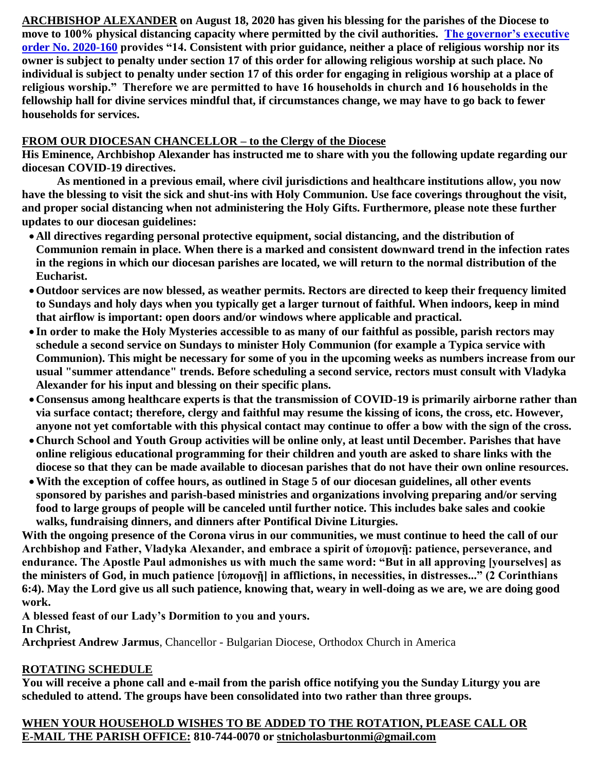**ARCHBISHOP ALEXANDER on August 18, 2020 has given his blessing for the parishes of the Diocese to move to 100% physical distancing capacity where permitted by the civil authorities. [The governor's executive](https://www.michigan.gov/whitmer/0,9309,7-387-90499_90705-535195--,00.html)  [order No. 2020-160](https://www.michigan.gov/whitmer/0,9309,7-387-90499_90705-535195--,00.html) provides "14. Consistent with prior guidance, neither a place of religious worship nor its owner is subject to penalty under section 17 of this order for allowing religious worship at such place. No individual is subject to penalty under section 17 of this order for engaging in religious worship at a place of religious worship." Therefore we are permitted to have 16 households in church and 16 households in the fellowship hall for divine services mindful that, if circumstances change, we may have to go back to fewer households for services.**

#### **FROM OUR DIOCESAN CHANCELLOR – to the Clergy of the Diocese**

**His Eminence, Archbishop Alexander has instructed me to share with you the following update regarding our diocesan COVID-19 directives.**

**As mentioned in a previous email, where civil jurisdictions and healthcare institutions allow, you now have the blessing to visit the sick and shut-ins with Holy Communion. Use face coverings throughout the visit, and proper social distancing when not administering the Holy Gifts. Furthermore, please note these further updates to our diocesan guidelines:**

- **All directives regarding personal protective equipment, social distancing, and the distribution of Communion remain in place. When there is a marked and consistent downward trend in the infection rates in the regions in which our diocesan parishes are located, we will return to the normal distribution of the Eucharist.**
- **Outdoor services are now blessed, as weather permits. Rectors are directed to keep their frequency limited to Sundays and holy days when you typically get a larger turnout of faithful. When indoors, keep in mind that airflow is important: open doors and/or windows where applicable and practical.**
- **In order to make the Holy Mysteries accessible to as many of our faithful as possible, parish rectors may schedule a second service on Sundays to minister Holy Communion (for example a Typica service with Communion). This might be necessary for some of you in the upcoming weeks as numbers increase from our usual "summer attendance" trends. Before scheduling a second service, rectors must consult with Vladyka Alexander for his input and blessing on their specific plans.**
- **Consensus among healthcare experts is that the transmission of COVID-19 is primarily airborne rather than via surface contact; therefore, clergy and faithful may resume the kissing of icons, the cross, etc. However, anyone not yet comfortable with this physical contact may continue to offer a bow with the sign of the cross.**
- **Church School and Youth Group activities will be online only, at least until December. Parishes that have online religious educational programming for their children and youth are asked to share links with the diocese so that they can be made available to diocesan parishes that do not have their own online resources.**
- **With the exception of coffee hours, as outlined in Stage 5 of our diocesan guidelines, all other events sponsored by parishes and parish-based ministries and organizations involving preparing and/or serving food to large groups of people will be canceled until further notice. This includes bake sales and cookie walks, fundraising dinners, and dinners after Pontifical Divine Liturgies.**

**With the ongoing presence of the Corona virus in our communities, we must continue to heed the call of our Archbishop and Father, Vladyka Alexander, and embrace a spirit of ὑπομονῇ: patience, perseverance, and endurance. The Apostle Paul admonishes us with much the same word: "But in all approving [yourselves] as the ministers of God, in much patience [ὑπομονῇ] in afflictions, in necessities, in distresses..." (2 Corinthians 6:4). May the Lord give us all such patience, knowing that, weary in well-doing as we are, we are doing good work.**

**A blessed feast of our Lady's Dormition to you and yours. In Christ,**

**Archpriest Andrew Jarmus**, Chancellor - Bulgarian Diocese, Orthodox Church in America

#### **ROTATING SCHEDULE**

**You will receive a phone call and e-mail from the parish office notifying you the Sunday Liturgy you are scheduled to attend. The groups have been consolidated into two rather than three groups.**

#### **WHEN YOUR HOUSEHOLD WISHES TO BE ADDED TO THE ROTATION, PLEASE CALL OR E-MAIL THE PARISH OFFICE: 810-744-0070 or [stnicholasburtonmi@gmail.com](mailto:stnicholasburtonmi@gmail.com)**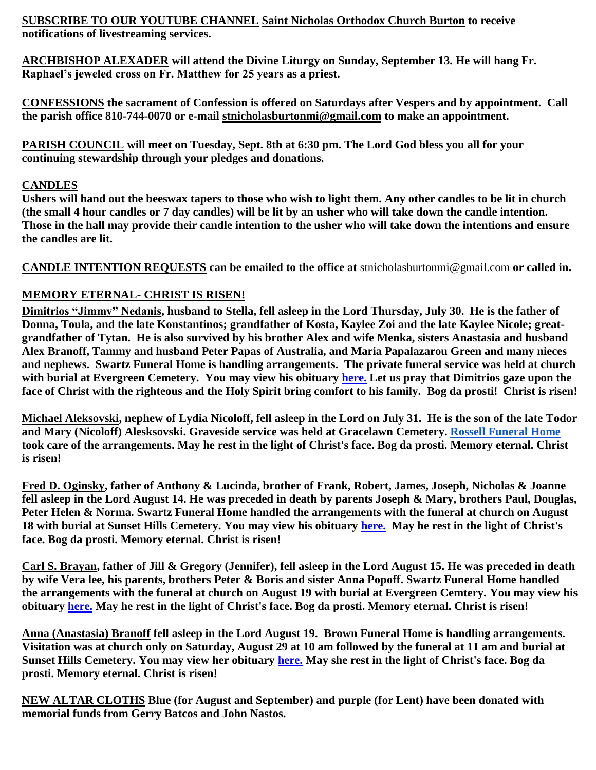**SUBSCRIBE TO OUR YOUTUBE CHANNEL [Saint Nicholas Orthodox Church Burton](https://www.youtube.com/channel/UC59tV-Re443z-GCoETAUvfA) to receive notifications of livestreaming services.**

**ARCHBISHOP ALEXADER will attend the Divine Liturgy on Sunday, September 13. He will hang Fr. Raphael's jeweled cross on Fr. Matthew for 25 years as a priest.**

**CONFESSIONS the sacrament of Confession is offered on Saturdays after Vespers and by appointment. Call the parish office 810-744-0070 or e-mail [stnicholasburtonmi@gmail.com](mailto:stnicholasburtonmi@gmail.com) to make an appointment.**

**PARISH COUNCIL will meet on Tuesday, Sept. 8th at 6:30 pm. The Lord God bless you all for your continuing stewardship through your pledges and donations.** 

#### **CANDLES**

**Ushers will hand out the beeswax tapers to those who wish to light them. Any other candles to be lit in church (the small 4 hour candles or 7 day candles) will be lit by an usher who will take down the candle intention. Those in the hall may provide their candle intention to the usher who will take down the intentions and ensure the candles are lit.**

**CANDLE INTENTION REQUESTS can be emailed to the office at** [stnicholasburtonmi@gmail.com](mailto:stnicholasburtonmi@gmail.com) **or called in.**

#### **MEMORY ETERNAL- CHRIST IS RISEN!**

**Dimitrios "Jimmy" Nedanis, husband to Stella, fell asleep in the Lord Thursday, July 30. He is the father of Donna, Toula, and the late Konstantinos; grandfather of Kosta, Kaylee Zoi and the late Kaylee Nicole; greatgrandfather of Tytan. He is also survived by his brother Alex and wife Menka, sisters Anastasia and husband Alex Branoff, Tammy and husband Peter Papas of Australia, and Maria Papalazarou Green and many nieces and nephews. Swartz Funeral Home is handling arrangements. The private funeral service was held at church with burial at Evergreen Cemetery. You may view his obituary [here.](https://www.swartzfuneralhomeinc.com/obituary/dimitrios-medanis) Let us pray that Dimitrios gaze upon the face of Christ with the righteous and the Holy Spirit bring comfort to his family. Bog da prosti! Christ is risen!**

**Michael Aleksovski, nephew of Lydia Nicoloff, fell asleep in the Lord on July 31. He is the son of the late Todor and Mary (Nicoloff) Alesksovski. Graveside service was held at Gracelawn Cemetery. [Rossell Funeral Home](https://www.rossellfuneralhomeinc.com/) took care of the arrangements. May he rest in the light of Christ's face. Bog da prosti. Memory eternal. Christ is risen!**

**Fred D. Oginsky, father of Anthony & Lucinda, brother of Frank, Robert, James, Joseph, Nicholas & Joanne fell asleep in the Lord August 14. He was preceded in death by parents Joseph & Mary, brothers Paul, Douglas, Peter Helen & Norma. Swartz Funeral Home handled the arrangements with the funeral at church on August 18 with burial at Sunset Hills Cemetery. You may view his obituary [here.](https://www.swartzfuneralhomeinc.com/obituary/fred-oginsky) May he rest in the light of Christ's face. Bog da prosti. Memory eternal. Christ is risen!**

**Carl S. Brayan, father of Jill & Gregory (Jennifer), fell asleep in the Lord August 15. He was preceded in death by wife Vera lee, his parents, brothers Peter & Boris and sister Anna Popoff. Swartz Funeral Home handled the arrangements with the funeral at church on August 19 with burial at Evergreen Cemtery. You may view his obituary [here.](https://www.swartzfuneralhomeinc.com/obituary/carl-bryan) May he rest in the light of Christ's face. Bog da prosti. Memory eternal. Christ is risen!**

**Anna (Anastasia) Branoff fell asleep in the Lord August 19. Brown Funeral Home is handling arrangements. Visitation was at church only on Saturday, August 29 at 10 am followed by the funeral at 11 am and burial at Sunset Hills Cemetery. You may view her obituary [here.](https://www.dignitymemorial.com/obituaries/grand-blanc-mi/anna-branoff-9318382) May she rest in the light of Christ's face. Bog da prosti. Memory eternal. Christ is risen!**

**NEW ALTAR CLOTHS Blue (for August and September) and purple (for Lent) have been donated with memorial funds from Gerry Batcos and John Nastos.**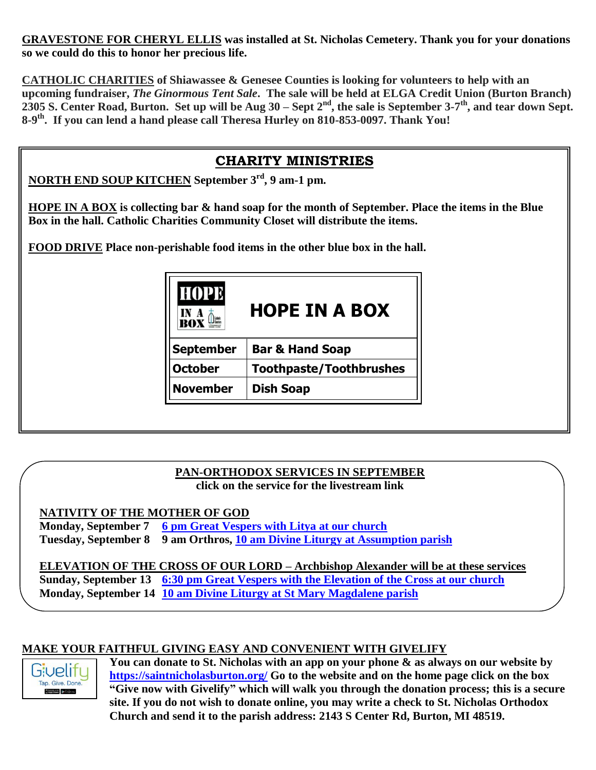**GRAVESTONE FOR CHERYL ELLIS was installed at St. Nicholas Cemetery. Thank you for your donations so we could do this to honor her precious life.**

**CATHOLIC CHARITIES of Shiawassee & Genesee Counties is looking for volunteers to help with an upcoming fundraiser,** *The Ginormous Tent Sale***. The sale will be held at ELGA Credit Union (Burton Branch) 2305 S. Center Road, Burton. Set up will be Aug 30 – Sept 2nd, the sale is September 3-7 th, and tear down Sept. 8-9 th . If you can lend a hand please call Theresa Hurley on 810-853-0097. Thank You!**

#### **CHARITY MINISTRIES**

**NORTH END SOUP KITCHEN September 3rd, 9 am-1 pm.**

**HOPE IN A BOX is collecting bar & hand soap for the month of September. Place the items in the Blue Box in the hall. Catholic Charities Community Closet will distribute the items.**

**FOOD DRIVE Place non-perishable food items in the other blue box in the hall.**

| <b>HOPE</b>      | <b>HOPE IN A BOX</b>           |
|------------------|--------------------------------|
| <b>September</b> | <b>Bar &amp; Hand Soap</b>     |
| <b>October</b>   | <b>Toothpaste/Toothbrushes</b> |
| <b>November</b>  | <b>Dish Soap</b>               |

#### **PAN-ORTHODOX SERVICES IN SEPTEMBER click on the service for the livestream link**

#### **NATIVITY OF THE MOTHER OF GOD**

**Monday, September 7 [6 pm Great Vespers with Litya at our church](https://youtu.be/IsiQsILQTys) Tuesday, September 8 9 am Orthros, [10 am Divine Liturgy at Assumption parish](https://www.facebook.com/AssumptionGrandBlanc/)**

**ELEVATION OF THE CROSS OF OUR LORD – Archbishop Alexander will be at these services Sunday, September 13 [6:30 pm Great Vespers with the Elevation of the Cross at our church](https://youtu.be/HzDK7oi3I-o) Monday, September 14 [10 am Divine Liturgy at St Mary Magdalene parish](https://www.youtube.com/c/SaintMaryMagdalene/videos?view=2&live_view=502)**

#### **MAKE YOUR FAITHFUL GIVING EASY AND CONVENIENT WITH GIVELIFY**



**You can donate to St. Nicholas with an app on your phone & as always on our website by <https://saintnicholasburton.org/> Go to the website and on the home page click on the box "Give now with Givelify" which will walk you through the donation process; this is a secure site. If you do not wish to donate online, you may write a check to St. Nicholas Orthodox Church and send it to the parish address: 2143 S Center Rd, Burton, MI 48519.**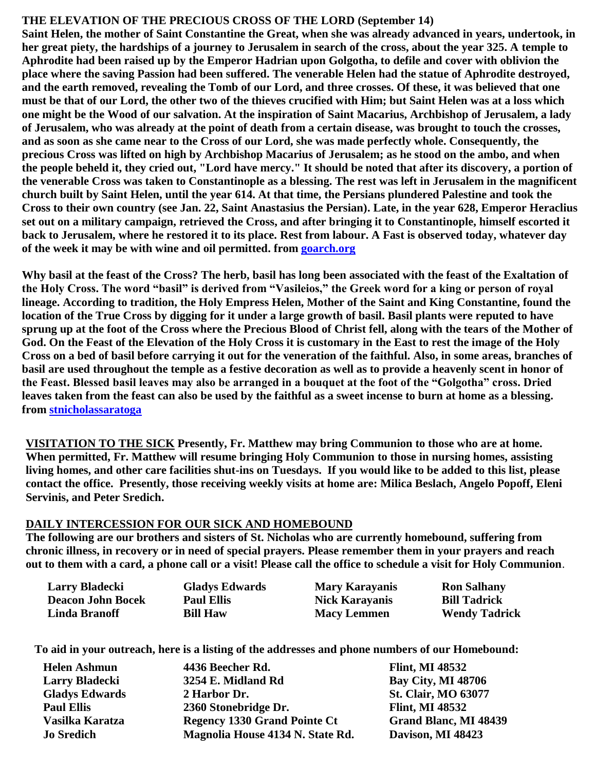#### **THE ELEVATION OF THE PRECIOUS CROSS OF THE LORD (September 14)**

**Saint Helen, the mother of Saint Constantine the Great, when she was already advanced in years, undertook, in her great piety, the hardships of a journey to Jerusalem in search of the cross, about the year 325. A temple to Aphrodite had been raised up by the Emperor Hadrian upon Golgotha, to defile and cover with oblivion the place where the saving Passion had been suffered. The venerable Helen had the statue of Aphrodite destroyed, and the earth removed, revealing the Tomb of our Lord, and three crosses. Of these, it was believed that one must be that of our Lord, the other two of the thieves crucified with Him; but Saint Helen was at a loss which one might be the Wood of our salvation. At the inspiration of Saint Macarius, Archbishop of Jerusalem, a lady of Jerusalem, who was already at the point of death from a certain disease, was brought to touch the crosses, and as soon as she came near to the Cross of our Lord, she was made perfectly whole. Consequently, the precious Cross was lifted on high by Archbishop Macarius of Jerusalem; as he stood on the ambo, and when the people beheld it, they cried out, "Lord have mercy." It should be noted that after its discovery, a portion of the venerable Cross was taken to Constantinople as a blessing. The rest was left in Jerusalem in the magnificent church built by Saint Helen, until the year 614. At that time, the Persians plundered Palestine and took the Cross to their own country (see Jan. 22, Saint Anastasius the Persian). Late, in the year 628, Emperor Heraclius set out on a military campaign, retrieved the Cross, and after bringing it to Constantinople, himself escorted it back to Jerusalem, where he restored it to its place. Rest from labour. A Fast is observed today, whatever day of the week it may be with wine and oil permitted. from [goarch.org](https://www.goarch.org/chapel/saints?contentid=205)**

**Why basil at the feast of the Cross? The herb, basil has long been associated with the feast of the Exaltation of the Holy Cross. The word "basil" is derived from "Vasileios," the Greek word for a king or person of royal lineage. According to tradition, the Holy Empress Helen, Mother of the Saint and King Constantine, found the location of the True Cross by digging for it under a large growth of basil. Basil plants were reputed to have sprung up at the foot of the Cross where the Precious Blood of Christ fell, along with the tears of the Mother of God. On the Feast of the Elevation of the Holy Cross it is customary in the East to rest the image of the Holy Cross on a bed of basil before carrying it out for the veneration of the faithful. Also, in some areas, branches of basil are used throughout the temple as a festive decoration as well as to provide a heavenly scent in honor of the Feast. Blessed basil leaves may also be arranged in a bouquet at the foot of the "Golgotha" cross. Dried leaves taken from the feast can also be used by the faithful as a sweet incense to burn at home as a blessing. from [stnicholassaratoga](https://stnicholassaratoga.org/orthopraxis-why-basil-at-the-feast-of-the-cross/)**

**VISITATION TO THE SICK Presently, Fr. Matthew may bring Communion to those who are at home. When permitted, Fr. Matthew will resume bringing Holy Communion to those in nursing homes, assisting living homes, and other care facilities shut-ins on Tuesdays. If you would like to be added to this list, please contact the office. Presently, those receiving weekly visits at home are: Milica Beslach, Angelo Popoff, Eleni Servinis, and Peter Sredich.**

#### **DAILY INTERCESSION FOR OUR SICK AND HOMEBOUND**

**The following are our brothers and sisters of St. Nicholas who are currently homebound, suffering from chronic illness, in recovery or in need of special prayers. Please remember them in your prayers and reach out to them with a card, a phone call or a visit! Please call the office to schedule a visit for Holy Communion**.

| Larry Bladecki           | <b>Gladys Edwards</b> | <b>Mary Karayanis</b> | <b>Ron Salhany</b>   |
|--------------------------|-----------------------|-----------------------|----------------------|
| <b>Deacon John Bocek</b> | <b>Paul Ellis</b>     | <b>Nick Karayanis</b> | <b>Bill Tadrick</b>  |
| <b>Linda Branoff</b>     | <b>Bill Haw</b>       | <b>Macy Lemmen</b>    | <b>Wendy Tadrick</b> |

**To aid in your outreach, here is a listing of the addresses and phone numbers of our Homebound:**

| <b>Helen Ashmun</b>   | 4436 Beecher Rd.                    | <b>Flint, MI 48532</b>       |
|-----------------------|-------------------------------------|------------------------------|
| <b>Larry Bladecki</b> | 3254 E. Midland Rd                  | <b>Bay City, MI 48706</b>    |
| <b>Gladys Edwards</b> | 2 Harbor Dr.                        | <b>St. Clair, MO 63077</b>   |
| <b>Paul Ellis</b>     | 2360 Stonebridge Dr.                | <b>Flint, MI 48532</b>       |
| Vasilka Karatza       | <b>Regency 1330 Grand Pointe Ct</b> | <b>Grand Blanc, MI 48439</b> |
| <b>Jo Sredich</b>     | Magnolia House 4134 N. State Rd.    | Davison, MI 48423            |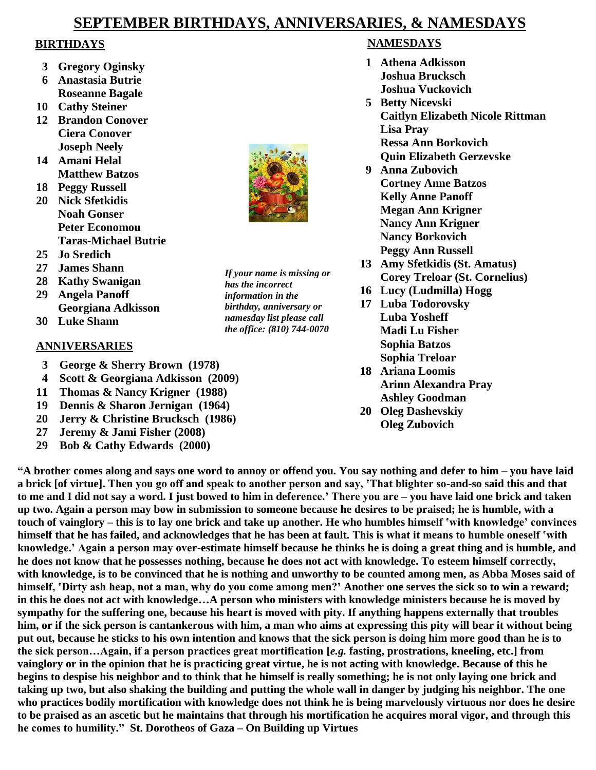#### **SEPTEMBER BIRTHDAYS, ANNIVERSARIES, & NAMESDAYS**

#### **BIRTHDAYS**

- **3 Gregory Oginsky**
- **6 Anastasia Butrie Roseanne Bagale**
- **10 Cathy Steiner**
- **12 Brandon Conover Ciera Conover Joseph Neely**
- **14 Amani Helal Matthew Batzos**
- **18 Peggy Russell**
- **20 Nick Sfetkidis Noah Gonser Peter Economou Taras-Michael Butrie**
- **25 Jo Sredich**
- **27 James Shann**
- **28 Kathy Swanigan**
- **29 Angela Panoff Georgiana Adkisson**
- **30 Luke Shann**

#### **ANNIVERSARIES**

- **3 George & Sherry Brown (1978)**
- **4 Scott & Georgiana Adkisson (2009)**
- **11 Thomas & Nancy Krigner (1988)**
- **19 Dennis & Sharon Jernigan (1964)**
- **20 Jerry & Christine Brucksch (1986)**
- **27 Jeremy & Jami Fisher (2008)**
- **29 Bob & Cathy Edwards (2000)**

#### **NAMESDAYS**

- **1 Athena Adkisson Joshua Brucksch Joshua Vuckovich**
- **5 Betty Nicevski Caitlyn Elizabeth Nicole Rittman Lisa Pray Ressa Ann Borkovich Quin Elizabeth Gerzevske**
- **9 Anna Zubovich Cortney Anne Batzos Kelly Anne Panoff Megan Ann Krigner Nancy Ann Krigner Nancy Borkovich Peggy Ann Russell**
- **13 Amy Sfetkidis (St. Amatus) Corey Treloar (St. Cornelius)**
- **16 Lucy (Ludmilla) Hogg**
- **17 Luba Todorovsky Luba Yosheff Madi Lu Fisher Sophia Batzos Sophia Treloar**
- **18 Ariana Loomis Arinn Alexandra Pray Ashley Goodman**
- **20 Oleg Dashevskiy**
	- **Oleg Zubovich**

**"A brother comes along and says one word to annoy or offend you. You say nothing and defer to him – you have laid a brick [of virtue]. Then you go off and speak to another person and say, 'That blighter so-and-so said this and that to me and I did not say a word. I just bowed to him in deference.' There you are – you have laid one brick and taken up two. Again a person may bow in submission to someone because he desires to be praised; he is humble, with a touch of vainglory – this is to lay one brick and take up another. He who humbles himself 'with knowledge' convinces himself that he has failed, and acknowledges that he has been at fault. This is what it means to humble oneself 'with knowledge.' Again a person may over-estimate himself because he thinks he is doing a great thing and is humble, and he does not know that he possesses nothing, because he does not act with knowledge. To esteem himself correctly, with knowledge, is to be convinced that he is nothing and unworthy to be counted among men, as Abba Moses said of himself, 'Dirty ash heap, not a man, why do you come among men?' Another one serves the sick so to win a reward; in this he does not act with knowledge…A person who ministers with knowledge ministers because he is moved by sympathy for the suffering one, because his heart is moved with pity. If anything happens externally that troubles him, or if the sick person is cantankerous with him, a man who aims at expressing this pity will bear it without being put out, because he sticks to his own intention and knows that the sick person is doing him more good than he is to the sick person…Again, if a person practices great mortification [***e.g.* **fasting, prostrations, kneeling, etc.] from vainglory or in the opinion that he is practicing great virtue, he is not acting with knowledge. Because of this he begins to despise his neighbor and to think that he himself is really something; he is not only laying one brick and taking up two, but also shaking the building and putting the whole wall in danger by judging his neighbor. The one who practices bodily mortification with knowledge does not think he is being marvelously virtuous nor does he desire to be praised as an ascetic but he maintains that through his mortification he acquires moral vigor, and through this he comes to humility." St. Dorotheos of Gaza – On Building up Virtues**



*If your name is missing or* 

*has the incorrect information in the birthday, anniversary or namesday list please call the office: (810) 744-0070*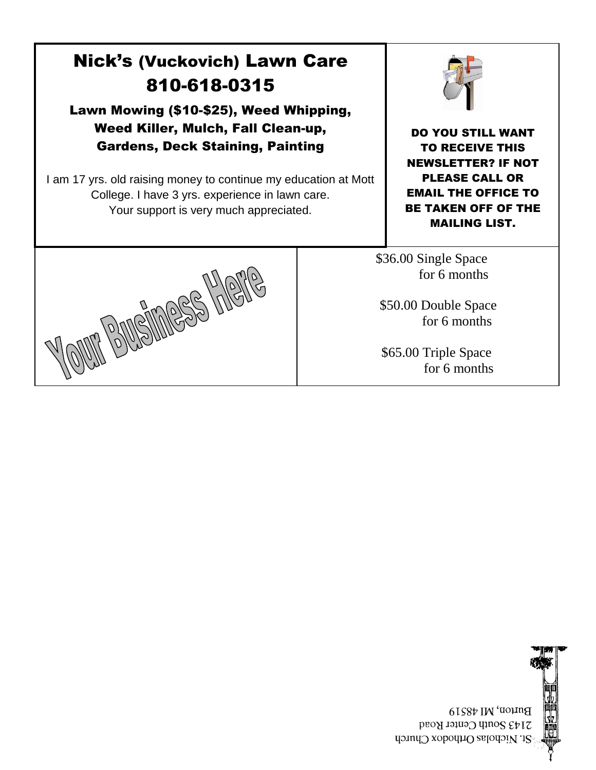## Nick's (Vuckovich) Lawn Care 810-618-0315

Lawn Mowing (\$10-\$25), Weed Whipping, Weed Killer, Mulch, Fall Clean-up, Gardens, Deck Staining, Painting

I am 17 yrs. old raising money to continue my education at Mott College. I have 3 yrs. experience in lawn care. Your support is very much appreciated.



DO YOU STILL WANT TO RECEIVE THIS NEWSLETTER? IF NOT PLEASE CALL OR EMAIL THE OFFICE TO BE TAKEN OFF OF THE MAILING LIST.

\$36.00 Single Space for 6 months

 \$50.00 Double Space for 6 months

 \$65.00 Triple Space for 6 months





Burton, MI 48519 2143 South Center Road St. Nicholas Orthodox Church